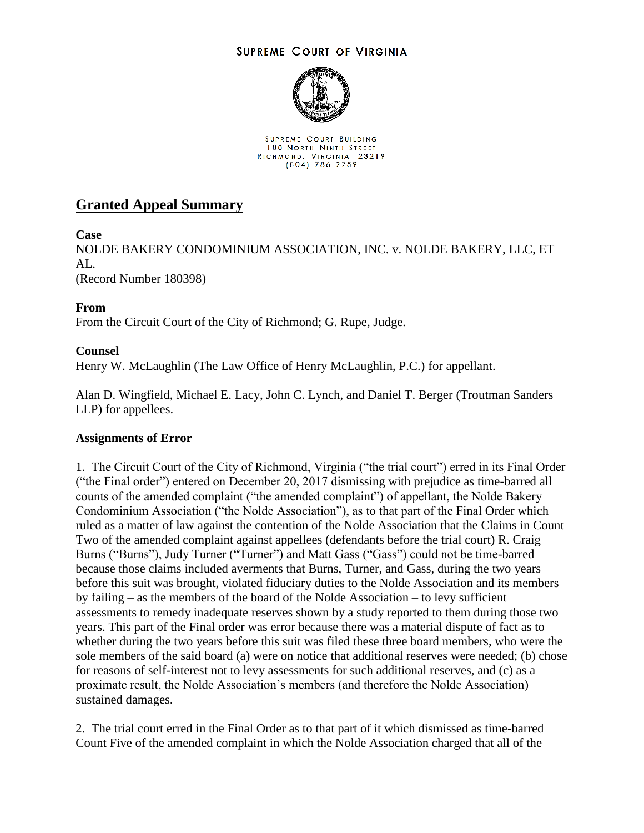## **SUPREME COURT OF VIRGINIA**



SUPREME COURT BUILDING 100 NORTH NINTH STREET RICHMOND, VIRGINIA 23219

## **Granted Appeal Summary**

**Case**

NOLDE BAKERY CONDOMINIUM ASSOCIATION, INC. v. NOLDE BAKERY, LLC, ET  $AI<sub>1</sub>$ . (Record Number 180398)

**From**

From the Circuit Court of the City of Richmond; G. Rupe, Judge.

## **Counsel**

Henry W. McLaughlin (The Law Office of Henry McLaughlin, P.C.) for appellant.

Alan D. Wingfield, Michael E. Lacy, John C. Lynch, and Daniel T. Berger (Troutman Sanders LLP) for appellees.

## **Assignments of Error**

1. The Circuit Court of the City of Richmond, Virginia ("the trial court") erred in its Final Order ("the Final order") entered on December 20, 2017 dismissing with prejudice as time-barred all counts of the amended complaint ("the amended complaint") of appellant, the Nolde Bakery Condominium Association ("the Nolde Association"), as to that part of the Final Order which ruled as a matter of law against the contention of the Nolde Association that the Claims in Count Two of the amended complaint against appellees (defendants before the trial court) R. Craig Burns ("Burns"), Judy Turner ("Turner") and Matt Gass ("Gass") could not be time-barred because those claims included averments that Burns, Turner, and Gass, during the two years before this suit was brought, violated fiduciary duties to the Nolde Association and its members by failing – as the members of the board of the Nolde Association – to levy sufficient assessments to remedy inadequate reserves shown by a study reported to them during those two years. This part of the Final order was error because there was a material dispute of fact as to whether during the two years before this suit was filed these three board members, who were the sole members of the said board (a) were on notice that additional reserves were needed; (b) chose for reasons of self-interest not to levy assessments for such additional reserves, and (c) as a proximate result, the Nolde Association's members (and therefore the Nolde Association) sustained damages.

2. The trial court erred in the Final Order as to that part of it which dismissed as time-barred Count Five of the amended complaint in which the Nolde Association charged that all of the